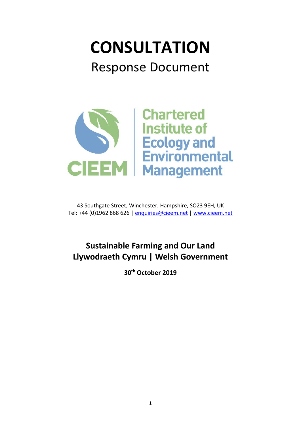# **CONSULTATION** Response Document



43 Southgate Street, Winchester, Hampshire, SO23 9EH, UK Tel: +44 (0)1962 868 626 | [enquiries@cieem.net](mailto:enquiries@cieem.net) | [www.cieem.net](http://www.cieem.net/)

# **Sustainable Farming and Our Land Llywodraeth Cymru | Welsh Government**

**30th October 2019**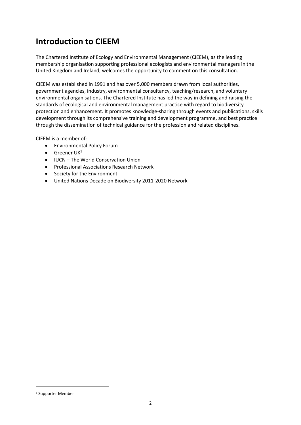# **Introduction to CIEEM**

The Chartered Institute of Ecology and Environmental Management (CIEEM), as the leading membership organisation supporting professional ecologists and environmental managers in the United Kingdom and Ireland, welcomes the opportunity to comment on this consultation.

CIEEM was established in 1991 and has over 5,000 members drawn from local authorities, government agencies, industry, environmental consultancy, teaching/research, and voluntary environmental organisations. The Chartered Institute has led the way in defining and raising the standards of ecological and environmental management practice with regard to biodiversity protection and enhancement. It promotes knowledge-sharing through events and publications, skills development through its comprehensive training and development programme, and best practice through the dissemination of technical guidance for the profession and related disciplines.

CIEEM is a member of:

- Environmental Policy Forum
- $\bullet$  Greener UK<sup>1</sup>
- IUCN The World Conservation Union
- Professional Associations Research Network
- Society for the Environment
- United Nations Decade on Biodiversity 2011-2020 Network

<sup>1</sup> Supporter Member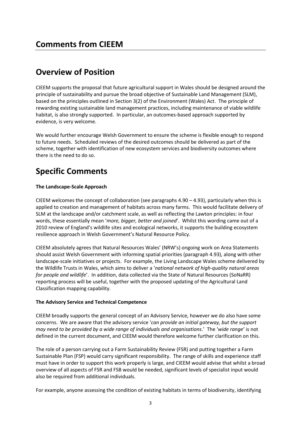# **Overview of Position**

CIEEM supports the proposal that future agricultural support in Wales should be designed around the principle of sustainability and pursue the broad objective of Sustainable Land Management (SLM), based on the principles outlined in Section 3(2) of the Environment (Wales) Act. The principle of rewarding existing sustainable land management practices, including maintenance of viable wildlife habitat, is also strongly supported. In particular, an outcomes-based approach supported by evidence, is very welcome.

We would further encourage Welsh Government to ensure the scheme is flexible enough to respond to future needs. Scheduled reviews of the desired outcomes should be delivered as part of the scheme, together with identification of new ecosystem services and biodiversity outcomes where there is the need to do so.

# **Specific Comments**

# **The Landscape-Scale Approach**

CIEEM welcomes the concept of collaboration (see paragraphs  $4.90 - 4.93$ ), particularly when this is applied to creation and management of habitats across many farms. This would facilitate delivery of SLM at the landscape and/or catchment scale, as well as reflecting the Lawton principles: in four words, these essentially mean '*more, bigger, better and joined*'. Whilst this wording came out of a 2010 review of England's wildlife sites and ecological networks, it supports the building ecosystem resilience approach in Welsh Government's Natural Resource Policy.

CIEEM absolutely agrees that Natural Resources Wales' (NRW's) ongoing work on Area Statements should assist Welsh Government with informing spatial priorities (paragraph 4.93), along with other landscape-scale initiatives or projects. For example, the Living Landscape Wales scheme delivered by the Wildlife Trusts in Wales, which aims to deliver a '*national network of high-quality natural areas for people and wildlife*'. In addition, data collected via the State of Natural Resources (SoNaRR) reporting process will be useful, together with the proposed updating of the Agricultural Land Classification mapping capability.

# **The Advisory Service and Technical Competence**

CIEEM broadly supports the general concept of an Advisory Service, however we do also have some concerns. We are aware that the advisory service '*can provide an initial gateway, but the support may need to be provided by a wide range of individuals and organisations*.' The '*wide range*' is not defined in the current document, and CIEEM would therefore welcome further clarification on this.

The role of a person carrying out a Farm Sustainability Review (FSR) and putting together a Farm Sustainable Plan (FSP) would carry significant responsibility. The range of skills and experience staff must have in order to support this work properly is large, and CIEEM would advise that whilst a broad overview of all aspects of FSR and FSB would be needed, significant levels of specialist input would also be required from additional individuals.

For example, anyone assessing the condition of existing habitats in terms of biodiversity, identifying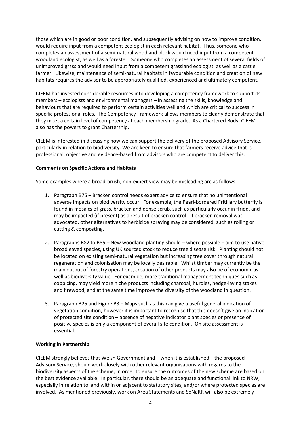those which are in good or poor condition, and subsequently advising on how to improve condition, would require input from a competent ecologist in each relevant habitat. Thus, someone who completes an assessment of a semi-natural woodland block would need input from a competent woodland ecologist, as well as a forester. Someone who completes an assessment of several fields of unimproved grassland would need input from a competent grassland ecologist, as well as a cattle farmer. Likewise, maintenance of semi-natural habitats in favourable condition and creation of new habitats requires the advisor to be appropriately qualified, experienced and ultimately competent.

CIEEM has invested considerable resources into developing a competency framework to support its members – ecologists and environmental managers – in assessing the skills, knowledge and behaviours that are required to perform certain activities well and which are critical to success in specific professional roles. The Competency Framework allows members to clearly demonstrate that they meet a certain level of competency at each membership grade. As a Chartered Body, CIEEM also has the powers to grant Chartership.

CIEEM is interested in discussing how we can support the delivery of the proposed Advisory Service, particularly in relation to biodiversity. We are keen to ensure that farmers receive advice that is professional, objective and evidence-based from advisors who are competent to deliver this.

# **Comments on Specific Actions and Habitats**

Some examples where a broad-brush, non-expert view may be misleading are as follows:

- 1. Paragraph B75 Bracken control needs expert advice to ensure that no unintentional adverse impacts on biodiversity occur. For example, the Pearl-bordered Fritillary butterfly is found in mosaics of grass, bracken and dense scrub, such as particularly occur in ffridd, and may be impacted (if present) as a result of bracken control. If bracken removal was advocated, other alternatives to herbicide spraying may be considered, such as rolling or cutting & composting.
- 2. Paragraphs B82 to B85 New woodland planting should where possible aim to use native broadleaved species, using UK sourced stock to reduce tree disease risk. Planting should not be located on existing semi-natural vegetation but increasing tree cover through natural regeneration and colonisation may be locally desirable. Whilst timber may currently be the main output of forestry operations, creation of other products may also be of economic as well as biodiversity value. For example, more traditional management techniques such as coppicing, may yield more niche products including charcoal, hurdles, hedge-laying stakes and firewood, and at the same time improve the diversity of the woodland in question.
- 3. Paragraph B25 and Figure B3 Maps such as this can give a useful general indication of vegetation condition, however it is important to recognise that this doesn't give an indication of protected site condition – absence of negative indicator plant species or presence of positive species is only a component of overall site condition. On site assessment is essential.

#### **Working in Partnership**

CIEEM strongly believes that Welsh Government and – when it is established – the proposed Advisory Service, should work closely with other relevant organisations with regards to the biodiversity aspects of the scheme, in order to ensure the outcomes of the new scheme are based on the best evidence available. In particular, there should be an adequate and functional link to NRW, especially in relation to land within or adjacent to statutory sites, and/or where protected species are involved. As mentioned previously, work on Area Statements and SoNaRR will also be extremely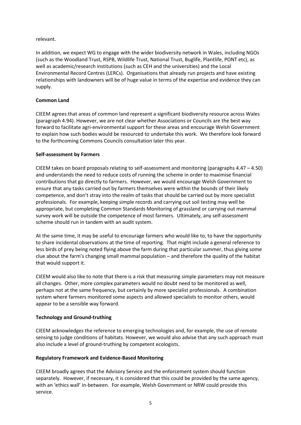### relevant.

In addition, we expect WG to engage with the wider biodiversity network in Wales, including NGOs (such as the Woodland Trust, RSPB, Wildlife Trust, National Trust, Buglife, Plantlife, PONT etc), as well as academic/research institutions (such as CEH and the universities) and the Local Environmental Record Centres (LERCs). Organisations that already run projects and have existing relationships with landowners will be of huge value in terms of the expertise and evidence they can supply.

# **Common Land**

CIEEM agrees that areas of common land represent a significant biodiversity resource across Wales (paragraph 4.94). However, we are not clear whether Associations or Councils are the best way forward to facilitate agri-environmental support for these areas and encourage Welsh Government to explain how such bodies would be resourced to undertake this work. We therefore look forward to the forthcoming Commons Councils consultation later this year.

#### **Self-assessment by Farmers**

CIEEM takes on board proposals relating to self-assessment and monitoring (paragraphs 4.47 – 4.50) and understands the need to reduce costs of running the scheme in order to maximise financial contributions that go directly to farmers. However, we would encourage Welsh Government to ensure that any tasks carried out by farmers themselves were within the bounds of their likely competence, and don't stray into the realm of tasks that should be carried out by more specialist professionals. For example, keeping simple records and carrying out soil testing may well be appropriate, but completing Common Standards Monitoring of grassland or carrying out mammal survey work will be outside the competence of most farmers. Ultimately, any self-assessment scheme should run in tandem with an audit system.

At the same time, it may be useful to encourage farmers who would like to, to have the opportunity to share incidental observations at the time of reporting. That might include a general reference to less birds of prey being noted flying above the farm during that particular summer, thus giving some clue about the farm's changing small mammal population – and therefore the quality of the habitat that would support it.

CIEEM would also like to note that there is a risk that measuring simple parameters may not measure all changes. Other, more complex parameters would no doubt need to be monitored as well, perhaps not at the same frequency, but certainly by more specialist professionals. A combination system where farmers monitored some aspects and allowed specialists to monitor others, would appear to be a sensible way forward.

# **Technology and Ground-truthing**

CIEEM acknowledges the reference to emerging technologies and, for example, the use of remote sensing to judge conditions of habitats. However, we would also advise that any such approach must also include a level of ground-truthing by competent ecologists.

# **Regulatory Framework and Evidence-Based Monitoring**

CIEEM broadly agrees that the Advisory Service and the enforcement system should function separately. However, if necessary, it is considered that this could be provided by the same agency, with an 'ethics wall' in-between. For example, Welsh Government or NRW could provide this service.